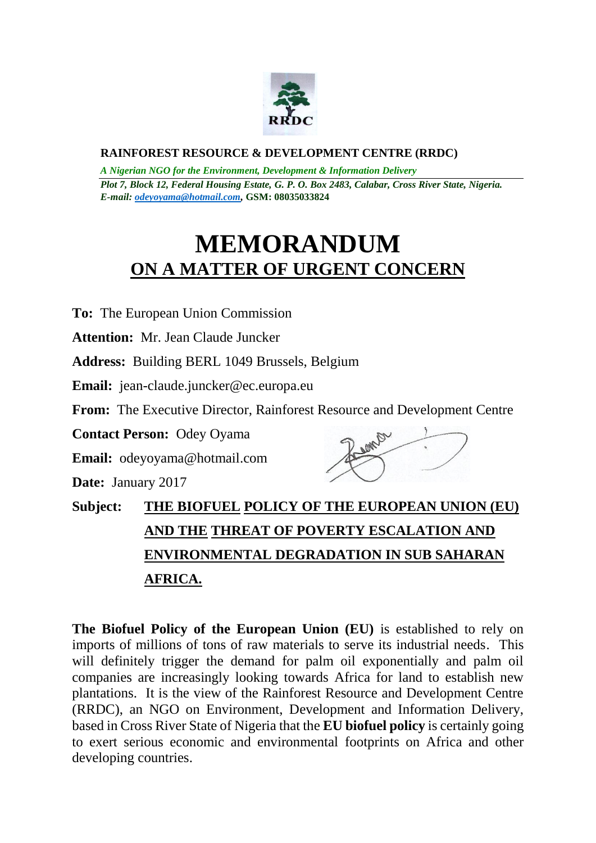

## **RAINFOREST RESOURCE & DEVELOPMENT CENTRE (RRDC)**

*A Nigerian NGO for the Environment, Development & Information Delivery Plot 7, Block 12, Federal Housing Estate, G. P. O. Box 2483, Calabar, Cross River State, Nigeria. E-mail[: odeyoyama@hotmail.com,](mailto:odeyoyama@hotmail.com)* **GSM: 08035033824**

## **MEMORANDUM ON A MATTER OF URGENT CONCERN**

**To:** The European Union Commission

**Attention:** Mr. Jean Claude Juncker

**Address:** Building BERL 1049 Brussels, Belgium

**Email:** jean-claude.juncker@ec.europa.eu

**From:** The Executive Director, Rainforest Resource and Development Centre

**Contact Person:** Odey Oyama

**Email:** odeyoyama@hotmail.com

**Date:** January 2017



**Subject: THE BIOFUEL POLICY OF THE EUROPEAN UNION (EU) AND THE THREAT OF POVERTY ESCALATION AND ENVIRONMENTAL DEGRADATION IN SUB SAHARAN AFRICA.**

**The Biofuel Policy of the European Union (EU)** is established to rely on imports of millions of tons of raw materials to serve its industrial needs. This will definitely trigger the demand for palm oil exponentially and palm oil companies are increasingly looking towards Africa for land to establish new plantations. It is the view of the Rainforest Resource and Development Centre (RRDC), an NGO on Environment, Development and Information Delivery, based in Cross River State of Nigeria that the **EU biofuel policy** is certainly going to exert serious economic and environmental footprints on Africa and other developing countries.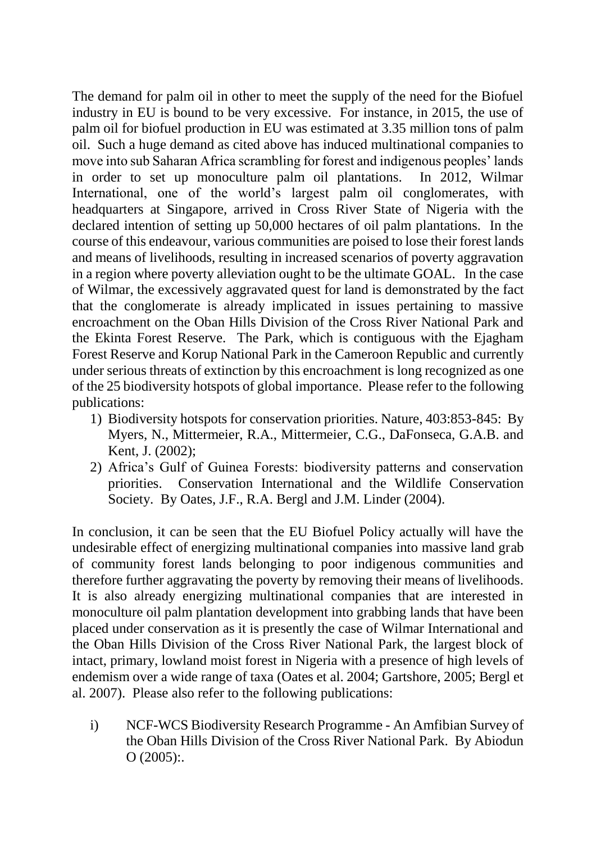The demand for palm oil in other to meet the supply of the need for the Biofuel industry in EU is bound to be very excessive. For instance, in 2015, the use of palm oil for biofuel production in EU was estimated at 3.35 million tons of palm oil. Such a huge demand as cited above has induced multinational companies to move into sub Saharan Africa scrambling for forest and indigenous peoples' lands in order to set up monoculture palm oil plantations. In 2012, Wilmar International, one of the world's largest palm oil conglomerates, with headquarters at Singapore, arrived in Cross River State of Nigeria with the declared intention of setting up 50,000 hectares of oil palm plantations. In the course of this endeavour, various communities are poised to lose their forest lands and means of livelihoods, resulting in increased scenarios of poverty aggravation in a region where poverty alleviation ought to be the ultimate GOAL. In the case of Wilmar, the excessively aggravated quest for land is demonstrated by the fact that the conglomerate is already implicated in issues pertaining to massive encroachment on the Oban Hills Division of the Cross River National Park and the Ekinta Forest Reserve. The Park, which is contiguous with the Ejagham Forest Reserve and Korup National Park in the Cameroon Republic and currently under serious threats of extinction by this encroachment is long recognized as one of the 25 biodiversity hotspots of global importance. Please refer to the following publications:

- 1) Biodiversity hotspots for conservation priorities. Nature, 403:853-845: By Myers, N., Mittermeier, R.A., Mittermeier, C.G., DaFonseca, G.A.B. and Kent, J. (2002);
- 2) Africa's Gulf of Guinea Forests: biodiversity patterns and conservation priorities. Conservation International and the Wildlife Conservation Society. By Oates, J.F., R.A. Bergl and J.M. Linder (2004).

In conclusion, it can be seen that the EU Biofuel Policy actually will have the undesirable effect of energizing multinational companies into massive land grab of community forest lands belonging to poor indigenous communities and therefore further aggravating the poverty by removing their means of livelihoods. It is also already energizing multinational companies that are interested in monoculture oil palm plantation development into grabbing lands that have been placed under conservation as it is presently the case of Wilmar International and the Oban Hills Division of the Cross River National Park, the largest block of intact, primary, lowland moist forest in Nigeria with a presence of high levels of endemism over a wide range of taxa (Oates et al. 2004; Gartshore, 2005; Bergl et al. 2007). Please also refer to the following publications:

i) NCF-WCS Biodiversity Research Programme - An Amfibian Survey of the Oban Hills Division of the Cross River National Park. By Abiodun O (2005):.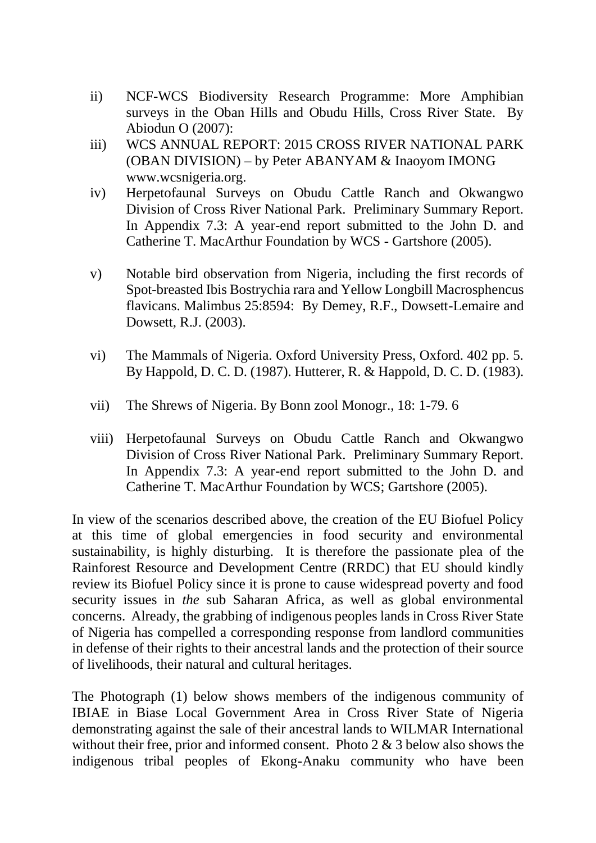- ii) NCF-WCS Biodiversity Research Programme: More Amphibian surveys in the Oban Hills and Obudu Hills, Cross River State. By Abiodun O (2007):
- iii) WCS ANNUAL REPORT: 2015 CROSS RIVER NATIONAL PARK (OBAN DIVISION) – by Peter ABANYAM & Inaoyom IMONG www.wcsnigeria.org.
- iv) Herpetofaunal Surveys on Obudu Cattle Ranch and Okwangwo Division of Cross River National Park. Preliminary Summary Report. In Appendix 7.3: A year-end report submitted to the John D. and Catherine T. MacArthur Foundation by WCS - Gartshore (2005).
- v) Notable bird observation from Nigeria, including the first records of Spot-breasted Ibis Bostrychia rara and Yellow Longbill Macrosphencus flavicans. Malimbus 25:8594: By Demey, R.F., Dowsett-Lemaire and Dowsett, R.J. (2003).
- vi) The Mammals of Nigeria. Oxford University Press, Oxford. 402 pp. 5. By Happold, D. C. D. (1987). Hutterer, R. & Happold, D. C. D. (1983).
- vii) The Shrews of Nigeria. By Bonn zool Monogr., 18: 1-79. 6
- viii) Herpetofaunal Surveys on Obudu Cattle Ranch and Okwangwo Division of Cross River National Park. Preliminary Summary Report. In Appendix 7.3: A year-end report submitted to the John D. and Catherine T. MacArthur Foundation by WCS; Gartshore (2005).

In view of the scenarios described above, the creation of the EU Biofuel Policy at this time of global emergencies in food security and environmental sustainability, is highly disturbing. It is therefore the passionate plea of the Rainforest Resource and Development Centre (RRDC) that EU should kindly review its Biofuel Policy since it is prone to cause widespread poverty and food security issues in *the* sub Saharan Africa, as well as global environmental concerns. Already, the grabbing of indigenous peoples lands in Cross River State of Nigeria has compelled a corresponding response from landlord communities in defense of their rights to their ancestral lands and the protection of their source of livelihoods, their natural and cultural heritages.

The Photograph (1) below shows members of the indigenous community of IBIAE in Biase Local Government Area in Cross River State of Nigeria demonstrating against the sale of their ancestral lands to WILMAR International without their free, prior and informed consent. Photo 2 & 3 below also shows the indigenous tribal peoples of Ekong-Anaku community who have been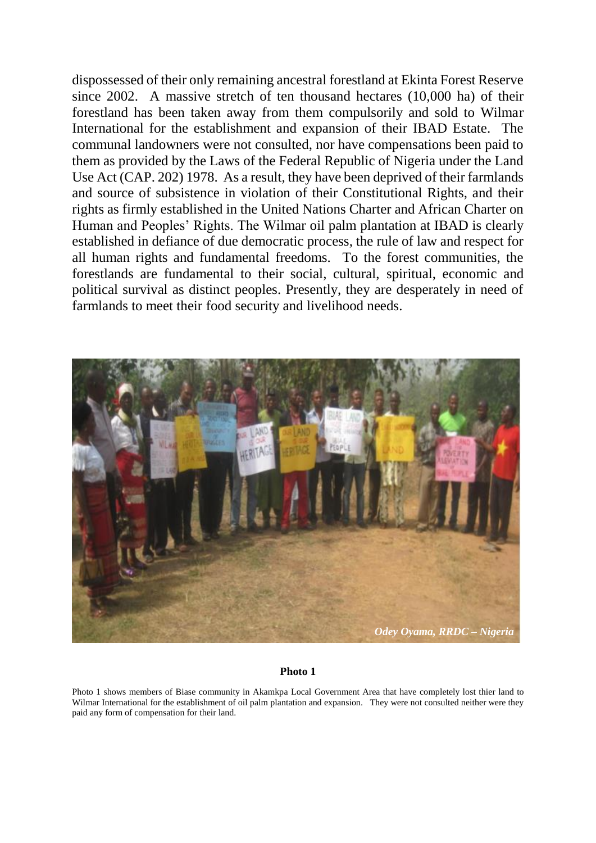dispossessed of their only remaining ancestral forestland at Ekinta Forest Reserve since 2002. A massive stretch of ten thousand hectares (10,000 ha) of their forestland has been taken away from them compulsorily and sold to Wilmar International for the establishment and expansion of their IBAD Estate. The communal landowners were not consulted, nor have compensations been paid to them as provided by the Laws of the Federal Republic of Nigeria under the Land Use Act (CAP. 202) 1978. As a result, they have been deprived of their farmlands and source of subsistence in violation of their Constitutional Rights, and their rights as firmly established in the United Nations Charter and African Charter on Human and Peoples' Rights. The Wilmar oil palm plantation at IBAD is clearly established in defiance of due democratic process, the rule of law and respect for all human rights and fundamental freedoms. To the forest communities, the forestlands are fundamental to their social, cultural, spiritual, economic and political survival as distinct peoples. Presently, they are desperately in need of farmlands to meet their food security and livelihood needs.



## **Photo 1**

Photo 1 shows members of Biase community in Akamkpa Local Government Area that have completely lost thier land to Wilmar International for the establishment of oil palm plantation and expansion. They were not consulted neither were they paid any form of compensation for their land.